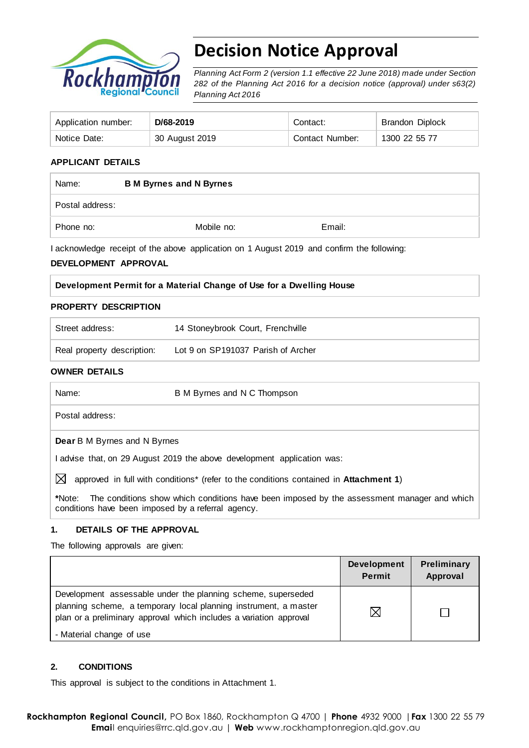

# **Decision Notice Approval**

*Planning Act Form 2 (version 1.1 effective 22 June 2018) made under Section 282 of the Planning Act 2016 for a decision notice (approval) under s63(2) Planning Act 2016*

| Application number: | D/68-2019      | Contact:        | <b>Brandon Diplock</b> |
|---------------------|----------------|-----------------|------------------------|
| Notice Date:        | 30 August 2019 | Contact Number: | 1300 22 55 77          |

## **APPLICANT DETAILS**

| Name:           | <b>B M Byrnes and N Byrnes</b> |        |  |
|-----------------|--------------------------------|--------|--|
| Postal address: |                                |        |  |
| Phone no:       | Mobile no:                     | Email: |  |

I acknowledge receipt of the above application on 1 August 2019 and confirm the following:

#### **DEVELOPMENT APPROVAL**

|  |  |  |  | Development Permit for a Material Change of Use for a Dwelling House |  |
|--|--|--|--|----------------------------------------------------------------------|--|
|  |  |  |  |                                                                      |  |

#### **PROPERTY DESCRIPTION**

| Street address:            | 14 Stoneybrook Court, Frenchville  |
|----------------------------|------------------------------------|
| Real property description: | Lot 9 on SP191037 Parish of Archer |

#### **OWNER DETAILS**

| Name:                               | B M Byrnes and N C Thompson                                                                       |  |  |
|-------------------------------------|---------------------------------------------------------------------------------------------------|--|--|
|                                     | Postal address:                                                                                   |  |  |
| <b>Dear</b> B M Byrnes and N Byrnes |                                                                                                   |  |  |
|                                     | advise that, on 29 August 2019 the above development application was:                             |  |  |
| IХ                                  | approved in full with conditions <sup>*</sup> (refer to the conditions contained in Attachment 1) |  |  |

**\***Note:The conditions show which conditions have been imposed by the assessment manager and which conditions have been imposed by a referral agency.

## **1. DETAILS OF THE APPROVAL**

The following approvals are given:

|                                                                                                                                                                                                        | <b>Development</b><br><b>Permit</b> | Preliminary<br>Approval |
|--------------------------------------------------------------------------------------------------------------------------------------------------------------------------------------------------------|-------------------------------------|-------------------------|
| Development assessable under the planning scheme, superseded<br>planning scheme, a temporary local planning instrument, a master<br>plan or a preliminary approval which includes a variation approval | $\boxtimes$                         |                         |
| - Material change of use                                                                                                                                                                               |                                     |                         |

## **2. CONDITIONS**

This approval is subject to the conditions in Attachment 1.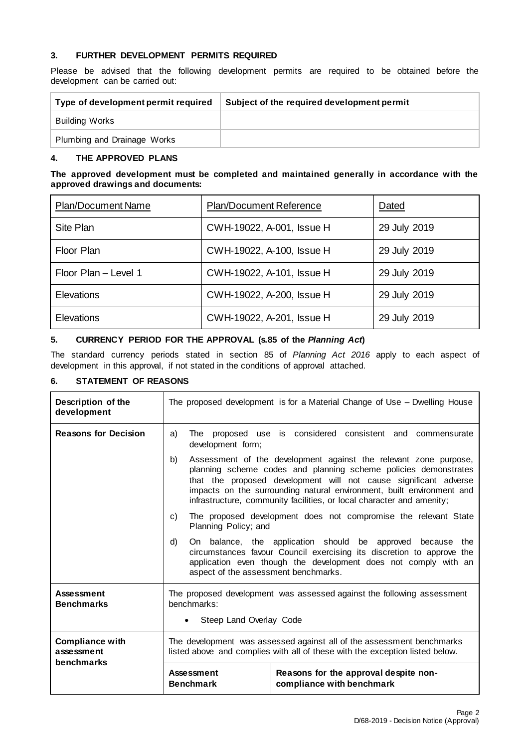### **3. FURTHER DEVELOPMENT PERMITS REQUIRED**

Please be advised that the following development permits are required to be obtained before the development can be carried out:

| Type of development permit required | Subject of the required development permit |
|-------------------------------------|--------------------------------------------|
| <b>Building Works</b>               |                                            |
| Plumbing and Drainage Works         |                                            |

### **4. THE APPROVED PLANS**

#### **The approved development must be completed and maintained generally in accordance with the approved drawings and documents:**

| <b>Plan/Document Name</b> | Plan/Document Reference   | Dated        |
|---------------------------|---------------------------|--------------|
| Site Plan                 | CWH-19022, A-001, Issue H | 29 July 2019 |
| Floor Plan                | CWH-19022, A-100, Issue H | 29 July 2019 |
| Floor Plan - Level 1      | CWH-19022, A-101, Issue H | 29 July 2019 |
| <b>Elevations</b>         | CWH-19022, A-200, Issue H | 29 July 2019 |
| <b>Elevations</b>         | CWH-19022, A-201, Issue H | 29 July 2019 |

## **5. CURRENCY PERIOD FOR THE APPROVAL (s.85 of the** *Planning Act***)**

The standard currency periods stated in section 85 of *Planning Act 2016* apply to each aspect of development in this approval, if not stated in the conditions of approval attached.

## **6. STATEMENT OF REASONS**

| Description of the<br>development                  | The proposed development is for a Material Change of Use – Dwelling House                                                                                                                                                                                                                                                                                       |                                                                    |  |  |  |
|----------------------------------------------------|-----------------------------------------------------------------------------------------------------------------------------------------------------------------------------------------------------------------------------------------------------------------------------------------------------------------------------------------------------------------|--------------------------------------------------------------------|--|--|--|
| <b>Reasons for Decision</b>                        | a)<br>The<br>development form;                                                                                                                                                                                                                                                                                                                                  | proposed use is considered consistent and commensurate             |  |  |  |
|                                                    | Assessment of the development against the relevant zone purpose,<br>b)<br>planning scheme codes and planning scheme policies demonstrates<br>that the proposed development will not cause significant adverse<br>impacts on the surrounding natural environment, built environment and<br>infrastructure, community facilities, or local character and amenity; |                                                                    |  |  |  |
|                                                    | The proposed development does not compromise the relevant State<br>C)<br>Planning Policy; and                                                                                                                                                                                                                                                                   |                                                                    |  |  |  |
|                                                    | On balance, the application should be approved because the<br>d)<br>circumstances favour Council exercising its discretion to approve the<br>application even though the development does not comply with an<br>aspect of the assessment benchmarks.                                                                                                            |                                                                    |  |  |  |
| <b>Assessment</b><br><b>Benchmarks</b>             | The proposed development was assessed against the following assessment<br>benchmarks:<br>Steep Land Overlay Code                                                                                                                                                                                                                                                |                                                                    |  |  |  |
|                                                    |                                                                                                                                                                                                                                                                                                                                                                 |                                                                    |  |  |  |
| <b>Compliance with</b><br>assessment<br>benchmarks | The development was assessed against all of the assessment benchmarks<br>listed above and complies with all of these with the exception listed below.                                                                                                                                                                                                           |                                                                    |  |  |  |
|                                                    | <b>Assessment</b><br><b>Benchmark</b>                                                                                                                                                                                                                                                                                                                           | Reasons for the approval despite non-<br>compliance with benchmark |  |  |  |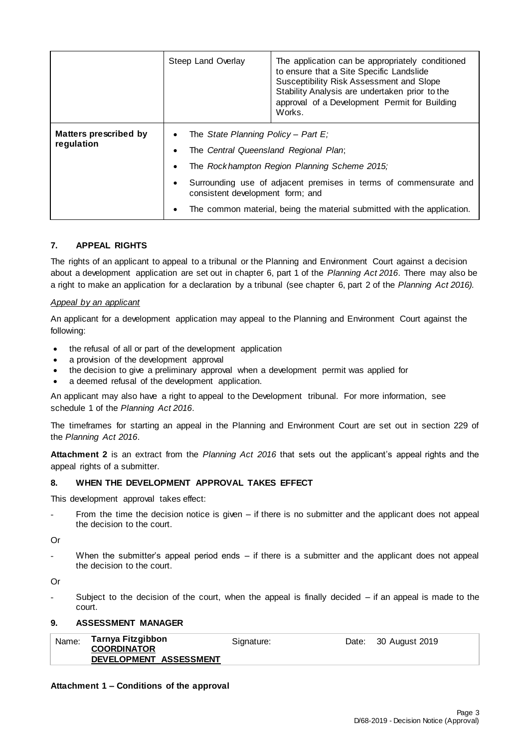|                                     | Steep Land Overlay | The application can be appropriately conditioned<br>to ensure that a Site Specific Landslide<br>Susceptibility Risk Assessment and Slope<br>Stability Analysis are undertaken prior to the<br>approval of a Development Permit for Building<br>Works. |  |  |
|-------------------------------------|--------------------|-------------------------------------------------------------------------------------------------------------------------------------------------------------------------------------------------------------------------------------------------------|--|--|
| Matters prescribed by<br>regulation |                    | The State Planning Policy – Part E:<br>The Central Queensland Regional Plan;<br>The Rockhampton Region Planning Scheme 2015;                                                                                                                          |  |  |
|                                     |                    | Surrounding use of adjacent premises in terms of commensurate and<br>consistent development form; and                                                                                                                                                 |  |  |
|                                     |                    | The common material, being the material submitted with the application.                                                                                                                                                                               |  |  |

## **7. APPEAL RIGHTS**

The rights of an applicant to appeal to a tribunal or the Planning and Environment Court against a decision about a development application are set out in chapter 6, part 1 of the *Planning Act 2016*. There may also be a right to make an application for a declaration by a tribunal (see chapter 6, part 2 of the *Planning Act 2016).*

#### *Appeal by an applicant*

An applicant for a development application may appeal to the Planning and Environment Court against the following:

- the refusal of all or part of the development application
- a provision of the development approval
- the decision to give a preliminary approval when a development permit was applied for
- a deemed refusal of the development application.

An applicant may also have a right to appeal to the Development tribunal. For more information, see schedule 1 of the *Planning Act 2016*.

The timeframes for starting an appeal in the Planning and Environment Court are set out in section 229 of the *Planning Act 2016*.

**Attachment 2** is an extract from the *Planning Act 2016* that sets out the applicant's appeal rights and the appeal rights of a submitter.

### **8. WHEN THE DEVELOPMENT APPROVAL TAKES EFFECT**

This development approval takes effect:

From the time the decision notice is given – if there is no submitter and the applicant does not appeal the decision to the court.

Or

When the submitter's appeal period ends  $-$  if there is a submitter and the applicant does not appeal the decision to the court.

Or

Subject to the decision of the court, when the appeal is finally decided  $-$  if an appeal is made to the court.

#### **9. ASSESSMENT MANAGER**

|  | Name: | Tarnya Fitzgibbon<br><b>COORDINATOR</b><br>DEVELOPMENT ASSESSMENT | Signature: |  | Date: 30 August 2019 |
|--|-------|-------------------------------------------------------------------|------------|--|----------------------|
|--|-------|-------------------------------------------------------------------|------------|--|----------------------|

#### **Attachment 1 – Conditions of the approval**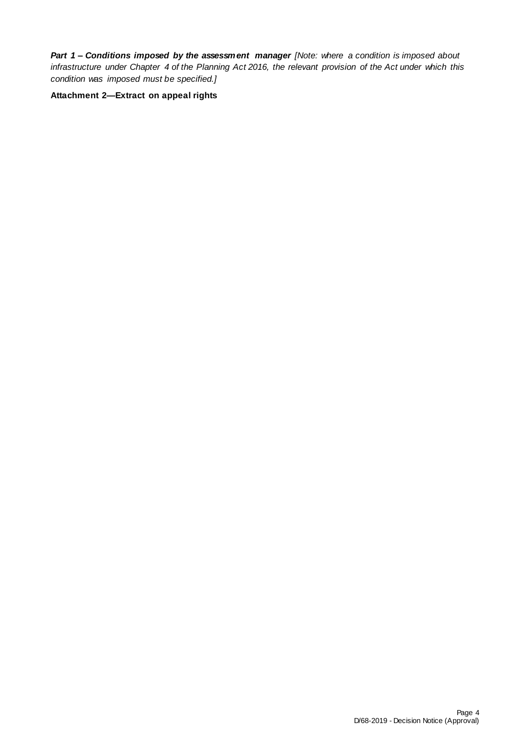*Part 1* **–** *Conditions imposed by the assessment manager [Note: where a condition is imposed about infrastructure under Chapter 4 of the Planning Act 2016, the relevant provision of the Act under which this condition was imposed must be specified.]*

**Attachment 2—Extract on appeal rights**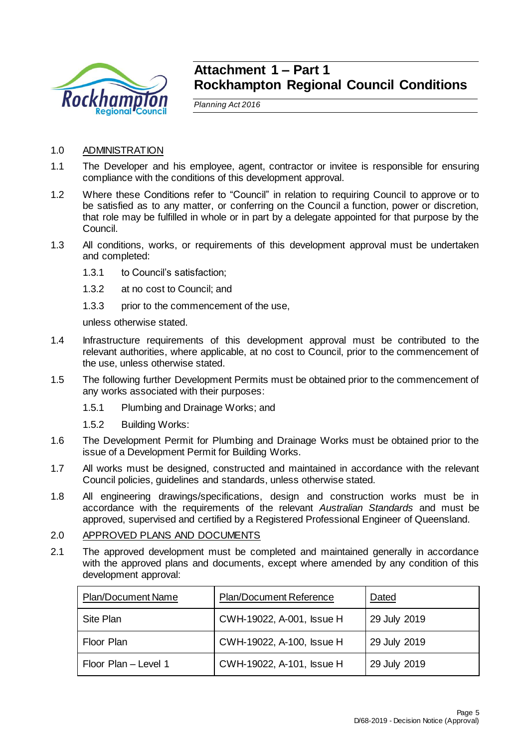

## **Attachment 1 – Part 1 Rockhampton Regional Council Conditions**

*Planning Act 2016*

- 1.0 ADMINISTRATION
- 1.1 The Developer and his employee, agent, contractor or invitee is responsible for ensuring compliance with the conditions of this development approval.
- 1.2 Where these Conditions refer to "Council" in relation to requiring Council to approve or to be satisfied as to any matter, or conferring on the Council a function, power or discretion, that role may be fulfilled in whole or in part by a delegate appointed for that purpose by the Council.
- 1.3 All conditions, works, or requirements of this development approval must be undertaken and completed:
	- 1.3.1 to Council's satisfaction;
	- 1.3.2 at no cost to Council; and
	- 1.3.3 prior to the commencement of the use,

unless otherwise stated.

- 1.4 Infrastructure requirements of this development approval must be contributed to the relevant authorities, where applicable, at no cost to Council, prior to the commencement of the use, unless otherwise stated.
- 1.5 The following further Development Permits must be obtained prior to the commencement of any works associated with their purposes:
	- 1.5.1 Plumbing and Drainage Works; and
	- 1.5.2 Building Works:
- 1.6 The Development Permit for Plumbing and Drainage Works must be obtained prior to the issue of a Development Permit for Building Works.
- 1.7 All works must be designed, constructed and maintained in accordance with the relevant Council policies, guidelines and standards, unless otherwise stated.
- 1.8 All engineering drawings/specifications, design and construction works must be in accordance with the requirements of the relevant *Australian Standards* and must be approved, supervised and certified by a Registered Professional Engineer of Queensland.

## 2.0 APPROVED PLANS AND DOCUMENTS

2.1 The approved development must be completed and maintained generally in accordance with the approved plans and documents, except where amended by any condition of this development approval:

| <b>Plan/Document Name</b> | <b>Plan/Document Reference</b> | Dated        |
|---------------------------|--------------------------------|--------------|
| Site Plan                 | CWH-19022, A-001, Issue H      | 29 July 2019 |
| Floor Plan                | CWH-19022, A-100, Issue H      | 29 July 2019 |
| Floor Plan - Level 1      | CWH-19022, A-101, Issue H      | 29 July 2019 |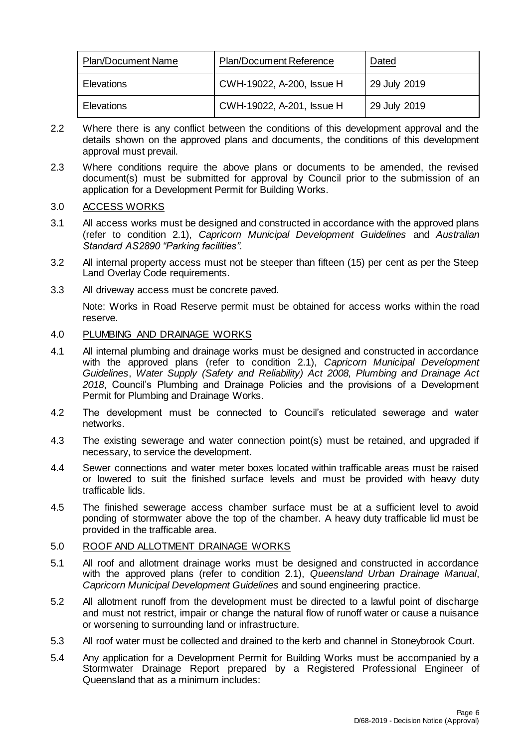| <b>Plan/Document Name</b> | <b>Plan/Document Reference</b> | Dated        |
|---------------------------|--------------------------------|--------------|
| Elevations                | CWH-19022, A-200, Issue H      | 29 July 2019 |
| <b>Elevations</b>         | CWH-19022, A-201, Issue H      | 29 July 2019 |

- 2.2 Where there is any conflict between the conditions of this development approval and the details shown on the approved plans and documents, the conditions of this development approval must prevail.
- 2.3 Where conditions require the above plans or documents to be amended, the revised document(s) must be submitted for approval by Council prior to the submission of an application for a Development Permit for Building Works.

## 3.0 ACCESS WORKS

- 3.1 All access works must be designed and constructed in accordance with the approved plans (refer to condition 2.1), *Capricorn Municipal Development Guidelines* and *Australian Standard AS2890 "Parking facilities"*.
- 3.2 All internal property access must not be steeper than fifteen (15) per cent as per the Steep Land Overlay Code requirements.
- 3.3 All driveway access must be concrete paved.

Note: Works in Road Reserve permit must be obtained for access works within the road reserve.

## 4.0 PLUMBING AND DRAINAGE WORKS

- 4.1 All internal plumbing and drainage works must be designed and constructed in accordance with the approved plans (refer to condition 2.1), *Capricorn Municipal Development Guidelines*, *Water Supply (Safety and Reliability) Act 2008, Plumbing and Drainage Act 2018*, Council's Plumbing and Drainage Policies and the provisions of a Development Permit for Plumbing and Drainage Works.
- 4.2 The development must be connected to Council's reticulated sewerage and water networks.
- 4.3 The existing sewerage and water connection point(s) must be retained, and upgraded if necessary, to service the development.
- 4.4 Sewer connections and water meter boxes located within trafficable areas must be raised or lowered to suit the finished surface levels and must be provided with heavy duty trafficable lids.
- 4.5 The finished sewerage access chamber surface must be at a sufficient level to avoid ponding of stormwater above the top of the chamber. A heavy duty trafficable lid must be provided in the trafficable area.

## 5.0 ROOF AND ALLOTMENT DRAINAGE WORKS

- 5.1 All roof and allotment drainage works must be designed and constructed in accordance with the approved plans (refer to condition 2.1), *Queensland Urban Drainage Manual*, *Capricorn Municipal Development Guidelines* and sound engineering practice.
- 5.2 All allotment runoff from the development must be directed to a lawful point of discharge and must not restrict, impair or change the natural flow of runoff water or cause a nuisance or worsening to surrounding land or infrastructure.
- 5.3 All roof water must be collected and drained to the kerb and channel in Stoneybrook Court.
- 5.4 Any application for a Development Permit for Building Works must be accompanied by a Stormwater Drainage Report prepared by a Registered Professional Engineer of Queensland that as a minimum includes: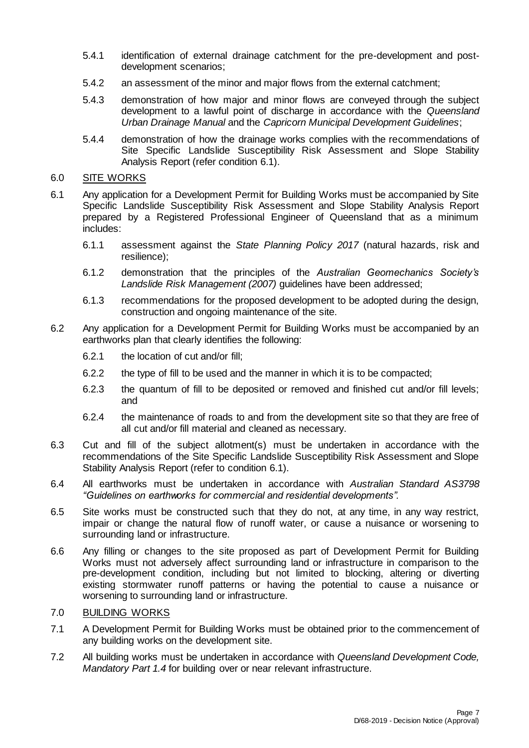- 5.4.1 identification of external drainage catchment for the pre-development and postdevelopment scenarios;
- 5.4.2 an assessment of the minor and major flows from the external catchment;
- 5.4.3 demonstration of how major and minor flows are conveyed through the subject development to a lawful point of discharge in accordance with the *Queensland Urban Drainage Manual* and the *Capricorn Municipal Development Guidelines*;
- 5.4.4 demonstration of how the drainage works complies with the recommendations of Site Specific Landslide Susceptibility Risk Assessment and Slope Stability Analysis Report (refer condition 6.1).

## 6.0 SITE WORKS

- 6.1 Any application for a Development Permit for Building Works must be accompanied by Site Specific Landslide Susceptibility Risk Assessment and Slope Stability Analysis Report prepared by a Registered Professional Engineer of Queensland that as a minimum includes:
	- 6.1.1 assessment against the *State Planning Policy 2017* (natural hazards, risk and resilience);
	- 6.1.2 demonstration that the principles of the *Australian Geomechanics Society's Landslide Risk Management (2007)* guidelines have been addressed;
	- 6.1.3 recommendations for the proposed development to be adopted during the design, construction and ongoing maintenance of the site.
- 6.2 Any application for a Development Permit for Building Works must be accompanied by an earthworks plan that clearly identifies the following:
	- 6.2.1 the location of cut and/or fill;
	- 6.2.2 the type of fill to be used and the manner in which it is to be compacted;
	- 6.2.3 the quantum of fill to be deposited or removed and finished cut and/or fill levels; and
	- 6.2.4 the maintenance of roads to and from the development site so that they are free of all cut and/or fill material and cleaned as necessary.
- 6.3 Cut and fill of the subject allotment(s) must be undertaken in accordance with the recommendations of the Site Specific Landslide Susceptibility Risk Assessment and Slope Stability Analysis Report (refer to condition 6.1).
- 6.4 All earthworks must be undertaken in accordance with *Australian Standard AS3798 "Guidelines on earthworks for commercial and residential developments".*
- 6.5 Site works must be constructed such that they do not, at any time, in any way restrict, impair or change the natural flow of runoff water, or cause a nuisance or worsening to surrounding land or infrastructure.
- 6.6 Any filling or changes to the site proposed as part of Development Permit for Building Works must not adversely affect surrounding land or infrastructure in comparison to the pre-development condition, including but not limited to blocking, altering or diverting existing stormwater runoff patterns or having the potential to cause a nuisance or worsening to surrounding land or infrastructure.

## 7.0 BUILDING WORKS

- 7.1 A Development Permit for Building Works must be obtained prior to the commencement of any building works on the development site.
- 7.2 All building works must be undertaken in accordance with *Queensland Development Code, Mandatory Part 1.4* for building over or near relevant infrastructure.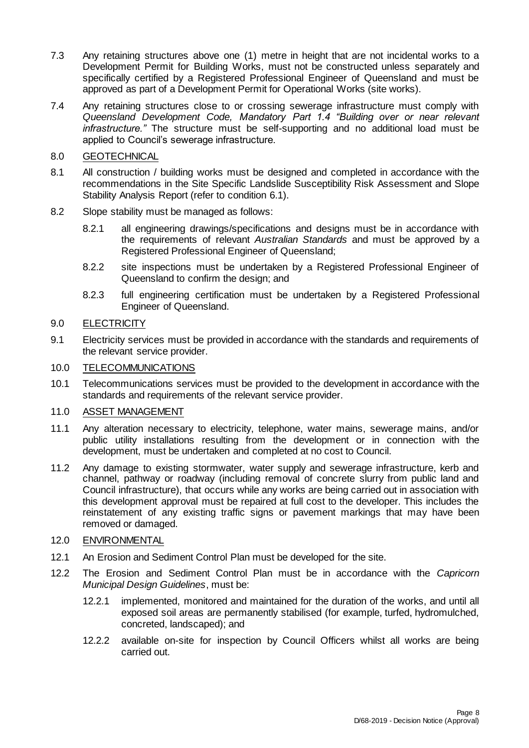- 7.3 Any retaining structures above one (1) metre in height that are not incidental works to a Development Permit for Building Works, must not be constructed unless separately and specifically certified by a Registered Professional Engineer of Queensland and must be approved as part of a Development Permit for Operational Works (site works).
- 7.4 Any retaining structures close to or crossing sewerage infrastructure must comply with *Queensland Development Code, Mandatory Part 1.4 "Building over or near relevant infrastructure."* The structure must be self-supporting and no additional load must be applied to Council's sewerage infrastructure.

## 8.0 GEOTECHNICAL

- 8.1 All construction / building works must be designed and completed in accordance with the recommendations in the Site Specific Landslide Susceptibility Risk Assessment and Slope Stability Analysis Report (refer to condition 6.1).
- 8.2 Slope stability must be managed as follows:
	- 8.2.1 all engineering drawings/specifications and designs must be in accordance with the requirements of relevant *Australian Standards* and must be approved by a Registered Professional Engineer of Queensland;
	- 8.2.2 site inspections must be undertaken by a Registered Professional Engineer of Queensland to confirm the design; and
	- 8.2.3 full engineering certification must be undertaken by a Registered Professional Engineer of Queensland.

## 9.0 ELECTRICITY

9.1 Electricity services must be provided in accordance with the standards and requirements of the relevant service provider.

## 10.0 TELECOMMUNICATIONS

10.1 Telecommunications services must be provided to the development in accordance with the standards and requirements of the relevant service provider.

## 11.0 ASSET MANAGEMENT

- 11.1 Any alteration necessary to electricity, telephone, water mains, sewerage mains, and/or public utility installations resulting from the development or in connection with the development, must be undertaken and completed at no cost to Council.
- 11.2 Any damage to existing stormwater, water supply and sewerage infrastructure, kerb and channel, pathway or roadway (including removal of concrete slurry from public land and Council infrastructure), that occurs while any works are being carried out in association with this development approval must be repaired at full cost to the developer. This includes the reinstatement of any existing traffic signs or pavement markings that may have been removed or damaged.

## 12.0 ENVIRONMENTAL

- 12.1 An Erosion and Sediment Control Plan must be developed for the site.
- 12.2 The Erosion and Sediment Control Plan must be in accordance with the *Capricorn Municipal Design Guidelines*, must be:
	- 12.2.1 implemented, monitored and maintained for the duration of the works, and until all exposed soil areas are permanently stabilised (for example, turfed, hydromulched, concreted, landscaped); and
	- 12.2.2 available on-site for inspection by Council Officers whilst all works are being carried out.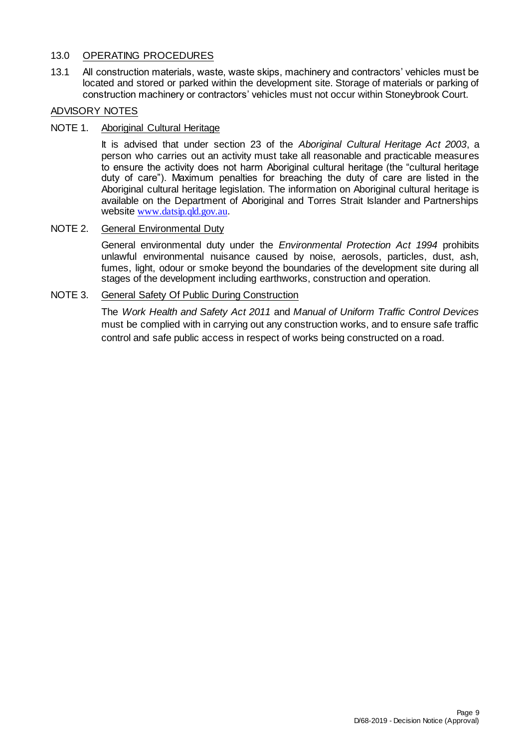## 13.0 OPERATING PROCEDURES

13.1 All construction materials, waste, waste skips, machinery and contractors' vehicles must be located and stored or parked within the development site. Storage of materials or parking of construction machinery or contractors' vehicles must not occur within Stoneybrook Court.

## ADVISORY NOTES

## NOTE 1. Aboriginal Cultural Heritage

It is advised that under section 23 of the *Aboriginal Cultural Heritage Act 2003*, a person who carries out an activity must take all reasonable and practicable measures to ensure the activity does not harm Aboriginal cultural heritage (the "cultural heritage duty of care"). Maximum penalties for breaching the duty of care are listed in the Aboriginal cultural heritage legislation. The information on Aboriginal cultural heritage is available on the Department of Aboriginal and Torres Strait Islander and Partnerships website [www.datsip.qld.gov.au](http://www.datsip.qld.gov.au/).

## NOTE 2. General Environmental Duty

General environmental duty under the *Environmental Protection Act 1994* prohibits unlawful environmental nuisance caused by noise, aerosols, particles, dust, ash, fumes, light, odour or smoke beyond the boundaries of the development site during all stages of the development including earthworks, construction and operation.

## NOTE 3. General Safety Of Public During Construction

The *Work Health and Safety Act 2011* and *Manual of Uniform Traffic Control Devices* must be complied with in carrying out any construction works, and to ensure safe traffic control and safe public access in respect of works being constructed on a road.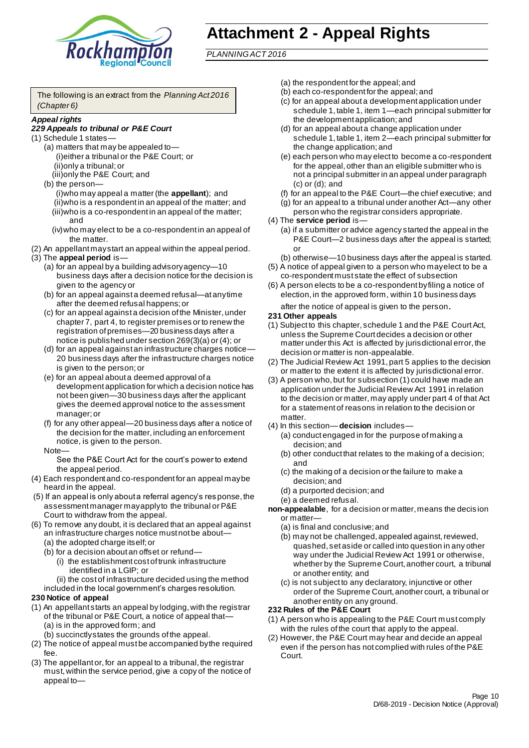

# **Attachment 2 - Appeal Rights**

*PLANNING ACT 2016*

The following is an extract from the *Planning Act 2016 (Chapter 6)*

#### *Appeal rights*

### *229 Appeals to tribunal or P&E Court*

- (1) Schedule 1 states—
	- (a) matters that may be appealed to— (i)either a tribunal or the P&E Court; or (ii)only a tribunal; or (iii)only the P&E Court; and
	- (b) the person— (i)who may appeal a matter (the **appellant**); and (ii)who is a respondent in an appeal of the matter; and (iii)who is a co-respondent in an appeal of the matter; and
		- (iv)who may elect to be a co-respondent in an appeal of the matter.
- (2) An appellant may start an appeal within the appeal period.
- (3) The **appeal period** is—
	- (a) for an appeal by a building advisory agency—10 business days after a decision notice for the decision is given to the agency or
	- (b) for an appeal against a deemed refusal—at any time after the deemed refusal happens; or
	- (c) for an appeal against a decision of the Minister, under chapter 7, part 4, to register premises or to renew the registration of premises—20 business days after a notice is published under section 269(3)(a) or (4); or
	- (d) for an appeal against an infrastructure charges notice— 20 business days after the infrastructure charges notice is given to the person; or
	- (e) for an appeal about a deemed approval of a development application for which a decision notice has not been given—30 business days after the applicant gives the deemed approval notice to the assessment manager; or
	- (f) for any other appeal—20 business days after a notice of the decision for the matter, including an enforcement notice, is given to the person.

## Note—

See the P&E Court Act for the court's power to extend the appeal period.

- (4) Each respondent and co-respondent for an appeal may be heard in the appeal.
- (5) If an appeal is only about a referral agency's res ponse, the assessment manager may apply to the tribunal or P&E Court to withdraw from the appeal.
- (6) To remove any doubt, it is declared that an appeal against an infrastructure charges notice must not be about—
	- (a) the adopted charge itself; or
	- (b) for a decision about an offset or refund—
		- (i) the establishment cost of trunk infrastructure identified in a LGIP; or
		- (ii) the cost of infrastructure decided using the method

included in the local government's charges resolution.

#### **230 Notice of appeal**

- (1) An appellant starts an appeal by lodging, with the registrar of the tribunal or P&E Court, a notice of appeal that—
	- (a) is in the approved form; and
	- (b) succinctly states the grounds of the appeal.
- (2) The notice of appeal must be accompanied by the required fee.
- (3) The appellant or, for an appeal to a tribunal, the registrar must, within the service period, give a copy of the notice of appeal to—
- (a) the respondent for the appeal; and
- (b) each co-respondent for the appeal; and
- (c) for an appeal about a development application under schedule 1, table 1, item 1—each principal submitter for the development application; and
- (d) for an appeal about a change application under schedule 1, table 1, item 2—each principal submitter for the change application; and
- (e) each person who may elect to become a co-respondent for the appeal, other than an eligible submitter who is not a principal submitter in an appeal under paragraph (c) or (d); and
- (f) for an appeal to the P&E Court—the chief executive; and
- (g) for an appeal to a tribunal under another Act—any other person who the registrar considers appropriate.
- (4) The **service period** is—
	- (a) if a submitter or advice agency started the appeal in the P&E Court—2 business days after the appeal is started; or
	- (b) otherwise—10 business days after the appeal is started.
- (5) A notice of appeal given to a person who may elect to be a co-respondent must state the effect of subsection
- (6) A person elects to be a co-respondent by filing a notice of election, in the approved form, within 10 business days
	- after the notice of appeal is given to the person*.*
- **231 Other appeals**
- (1) Subject to this chapter, schedule 1 and the P&E Court Act, unless the Supreme Court decides a decision or other matter under this Act is affected by jurisdictional error, the decision or matter is non-appealable.
- (2) The Judicial Review Act 1991, part 5 applies to the decision or matter to the extent it is affected by jurisdictional error.
- (3) A person who, but for subsection (1) could have made an application under the Judicial Review Act 1991 in relation to the decision or matter, may apply under part 4 of that Act for a statement of reasons in relation to the decision or matter.
- (4) In this section—**decision** includes—
	- (a) conduct engaged in for the purpose of making a decision; and
	- (b) other conduct that relates to the making of a decision; and
	- (c) the making of a decision or the failure to make a decision; and
	- (d) a purported decision; and
	- (e) a deemed refusal.

**non-appealable**, for a decision or matter, means the decis ion or matter-

- (a) is final and conclusive; and
- (b) may not be challenged, appealed against, reviewed, quashed, set aside or called into question in any other way under the Judicial Review Act 1991 or otherwise, whether by the Supreme Court, another court, a tribunal or another entity; and
- (c) is not subject to any declaratory, injunctive or other order of the Supreme Court, another court, a tribunal or another entity on any ground.

#### **232 Rules of the P&E Court**

- (1) A person who is appealing to the P&E Court m ust comply with the rules of the court that apply to the appeal.
- (2) However, the P&E Court may hear and decide an appeal even if the person has not complied with rules of the P&E Court.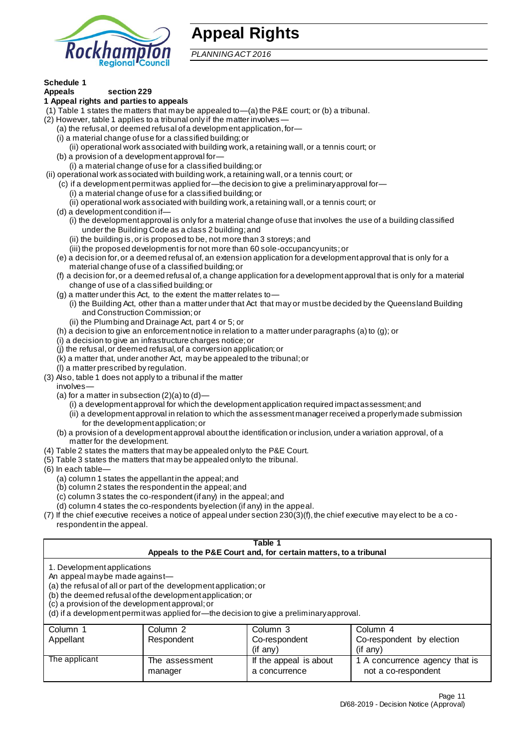

# **Appeal Rights**

*PLANNING ACT 2016*

# **Schedule 1**

#### **Appeals section 229 1 Appeal rights and parties to appeals**

- (1) Table 1 states the matters that may be appealed to—(a) the P&E court; or (b) a tribunal.
- (2) However, table 1 applies to a tribunal only if the matter involves
	- (a) the refusal, or deemed refusal of a developm ent application, for—
	- (i) a material change of use for a classified building; or
	- (ii) operational work associated with building work, a retaining wall, or a tennis court; or
	- (b) a provision of a development approval for—
	- (i) a material change of use for a classified building; or
- (ii) operational work associated with building work, a retaining wall, or a tennis court; or
	- (c) if a development permit was applied for—the decision to give a preliminary approval for—
		- (i) a material change of use for a classified building; or
	- (ii) operational work associated with building work, a retaining wall, or a tennis court; or
	- (d) a development condition if—
		- (i) the development approval is only for a material change of use that involves the use of a building classified under the Building Code as a class 2 building; and
		- (ii) the building is, or is proposed to be, not more than 3 storeys; and
		- (iii) the proposed development is for not more than 60 sole-occupancy units; or
	- (e) a decision for, or a deemed refusal of, an extension application for a development approval that is only for a material change of use of a classified building; or
	- (f) a decision for, or a deemed refusal of, a change application for a development approval that is only for a material change of use of a classified building; or
	- (g) a matter under this Act, to the extent the matter relates to—
		- (i) the Building Act, other than a matter under that Act that may or must be decided by the Queensland Building and Construction Commission; or
		- (ii) the Plumbing and Drainage Act, part 4 or 5; or
	- (h) a decision to give an enforcement notice in relation to a matter under paragraphs (a) to (g); or
	- (i) a decision to give an infrastructure charges notice; or
	- (j) the refusal, or deemed refusal, of a conversion application; or
	- (k) a matter that, under another Act, may be appealed to the tribunal; or
	- (l) a matter prescribed by regulation.
- (3) Also, table 1 does not apply to a tribunal if the matter
	- involves—
	- (a) for a matter in subsection  $(2)(a)$  to  $(d)$ 
		- (i) a development approval for which the development application required impact assessment; and
		- (ii) a development approval in relation to which the assessment manager received a properly made submission for the development application; or
	- (b) a provision of a development approval about the identification or inclusion, under a variation approval, of a matter for the development.
- (4) Table 2 states the matters that may be appealed only to the P&E Court.
- (5) Table 3 states the matters that may be appealed only to the tribunal.
- (6) In each table—
	- (a) column 1 states the appellant in the appeal; and
	- (b) column 2 states the respondent in the appeal; and
	- (c) column 3 states the co-respondent (if any) in the appeal; and
	- (d) column 4 states the co-respondents by election (if any) in the appeal.
- $(7)$  If the chief executive receives a notice of appeal under section  $230(3)$ (f), the chief executive may elect to be a corespondent in the appeal.

### **Table 1 Appeals to the P&E Court and, for certain matters, to a tribunal** 1. Development applications An appeal may be made against-(a) the refusal of all or part of the development application; or (b) the deemed refusal of the development application; or (c) a provision of the development approval; or

(d) if a development permit was applied for—the decision to give a preliminary approval.

| Column 1      | Column 2       | Column 3               | Column 4                       |
|---------------|----------------|------------------------|--------------------------------|
| Appellant     | Respondent     | Co-respondent          | Co-respondent by election      |
|               |                | $($ if anv $)$         | $(f \text{ any})$              |
| The applicant | The assessment | If the appeal is about | 1 A concurrence agency that is |
|               | manager        | a concurrence          | not a co-respondent            |
|               |                |                        |                                |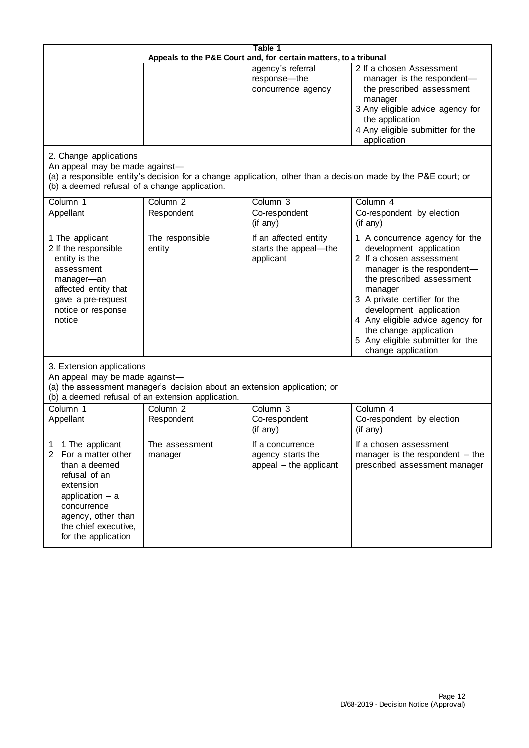| Table 1<br>Appeals to the P&E Court and, for certain matters, to a tribunal |                                                         |                                                                                                                                                                                                          |  |
|-----------------------------------------------------------------------------|---------------------------------------------------------|----------------------------------------------------------------------------------------------------------------------------------------------------------------------------------------------------------|--|
|                                                                             | agency's referral<br>response—the<br>concurrence agency | 2 If a chosen Assessment<br>manager is the respondent-<br>the prescribed assessment<br>manager<br>3 Any eligible advice agency for<br>the application<br>4 Any eligible submitter for the<br>application |  |

2. Change applications

application – a concurrence agency, other than the chief executive, for the application

An appeal may be made against—

(a) a responsible entity's decision for a change application, other than a decision made by the P&E court; or (b) a deemed refusal of a change application.

| Column 1                                                                                                                                                                                     | Column <sub>2</sub>       | Column 3                                                        | Column 4                                                                                                                                                                                                                                                                                                                                        |  |
|----------------------------------------------------------------------------------------------------------------------------------------------------------------------------------------------|---------------------------|-----------------------------------------------------------------|-------------------------------------------------------------------------------------------------------------------------------------------------------------------------------------------------------------------------------------------------------------------------------------------------------------------------------------------------|--|
| Appellant                                                                                                                                                                                    | Respondent                | Co-respondent                                                   | Co-respondent by election                                                                                                                                                                                                                                                                                                                       |  |
|                                                                                                                                                                                              |                           | (if any)                                                        | (if any)                                                                                                                                                                                                                                                                                                                                        |  |
| 1 The applicant<br>2 If the responsible<br>entity is the<br>assessment<br>manager-an<br>affected entity that<br>gave a pre-request<br>notice or response<br>notice                           | The responsible<br>entity | If an affected entity<br>starts the appeal-the<br>applicant     | 1 A concurrence agency for the<br>development application<br>2 If a chosen assessment<br>manager is the respondent-<br>the prescribed assessment<br>manager<br>3 A private certifier for the<br>development application<br>4 Any eligible advice agency for<br>the change application<br>5 Any eligible submitter for the<br>change application |  |
| 3. Extension applications<br>An appeal may be made against-<br>(a) the assessment manager's decision about an extension application; or<br>(b) a deemed refusal of an extension application. |                           |                                                                 |                                                                                                                                                                                                                                                                                                                                                 |  |
| Column 1                                                                                                                                                                                     | Column <sub>2</sub>       | Column <sub>3</sub>                                             | Column <sub>4</sub>                                                                                                                                                                                                                                                                                                                             |  |
| Appellant                                                                                                                                                                                    | Respondent                | Co-respondent                                                   | Co-respondent by election                                                                                                                                                                                                                                                                                                                       |  |
|                                                                                                                                                                                              |                           | (if any)                                                        | (if any)                                                                                                                                                                                                                                                                                                                                        |  |
| 1 The applicant<br>For a matter other<br>than a deemed<br>refusal of an<br>extension                                                                                                         | The assessment<br>manager | If a concurrence<br>agency starts the<br>appeal - the applicant | If a chosen assessment<br>manager is the respondent $-$ the<br>prescribed assessment manager                                                                                                                                                                                                                                                    |  |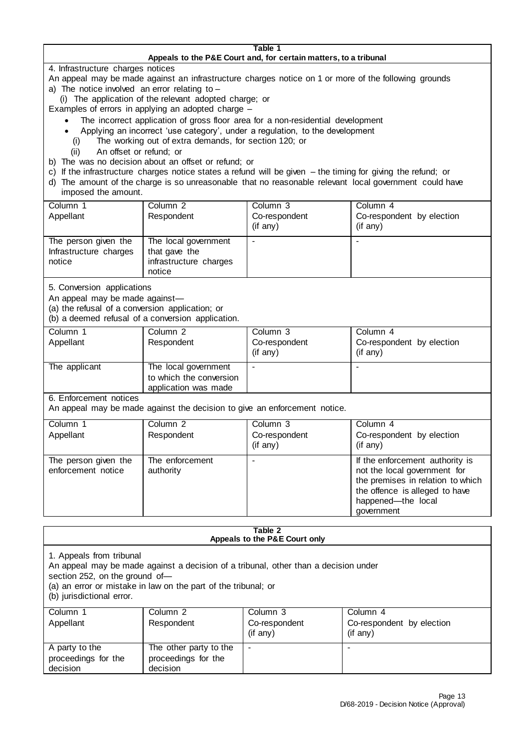#### **Table 1 Appeals to the P&E Court and, for certain matters, to a tribunal**

4. Infrastructure charges notices

An appeal may be made against an infrastructure charges notice on 1 or more of the following grounds

- a) The notice involved an error relating to
	- (i) The application of the relevant adopted charge; or
- Examples of errors in applying an adopted charge
	- The incorrect application of gross floor area for a non-residential development
	- Applying an incorrect 'use category', under a regulation, to the development
	- (i) The working out of extra demands, for section 120; or
	- (ii) An offset or refund; or
- b) The was no decision about an offset or refund; or
- c) If the infrastructure charges notice states a refund will be given the timing for giving the refund; or
- d) The amount of the charge is so unreasonable that no reasonable relevant local government could have imposed the amount.

| m                                                        |                                                                           |                           |                                              |
|----------------------------------------------------------|---------------------------------------------------------------------------|---------------------------|----------------------------------------------|
| Column 1                                                 | Column <sub>2</sub>                                                       | Column 3                  | Column 4                                     |
| Appellant                                                | Respondent                                                                | Co-respondent<br>(if any) | Co-respondent by election<br>$(i f \n{any})$ |
| The person given the<br>Infrastructure charges<br>notice | The local government<br>that gave the<br>infrastructure charges<br>notice |                           |                                              |

5. Conversion applications

An appeal may be made against—

(a) the refusal of a conversion application; or

(b) a deemed refusal of a conversion application.

| Column 1<br>Appellant | Column 2<br>Respondent                                                  | Column 3<br>Co-respondent<br>$($ if any $)$ | Column 4<br>Co-respondent by election<br>(if any) |
|-----------------------|-------------------------------------------------------------------------|---------------------------------------------|---------------------------------------------------|
| The applicant         | The local government<br>to which the conversion<br>application was made |                                             | -                                                 |

6. Enforcement notices

An appeal may be made against the decision to give an enforcement notice.

| Column 1                                   | Column 2                     | Column 3      | Column 4                                                                                                                                                                   |
|--------------------------------------------|------------------------------|---------------|----------------------------------------------------------------------------------------------------------------------------------------------------------------------------|
| Appellant                                  | Respondent                   | Co-respondent | Co-respondent by election                                                                                                                                                  |
|                                            |                              | (if any)      | (if any)                                                                                                                                                                   |
| The person given the<br>enforcement notice | The enforcement<br>authority |               | If the enforcement authority is<br>not the local government for<br>the premises in relation to which<br>the offence is alleged to have<br>happened-the local<br>government |

#### **Table 2 Appeals to the P&E Court only**

1. Appeals from tribunal

An appeal may be made against a decision of a tribunal, other than a decision under

section 252, on the ground of—

(a) an error or mistake in law on the part of the tribunal; or

(b) jurisdictional error.

| Column 1<br>Appellant                             | Column 2<br>Respondent                                    | Column 3<br>Co-respondent<br>(if any) | Column 4<br>Co-respondent by election<br>$($ if any $)$ |
|---------------------------------------------------|-----------------------------------------------------------|---------------------------------------|---------------------------------------------------------|
| A party to the<br>proceedings for the<br>decision | The other party to the<br>proceedings for the<br>decision | $\overline{\phantom{a}}$              |                                                         |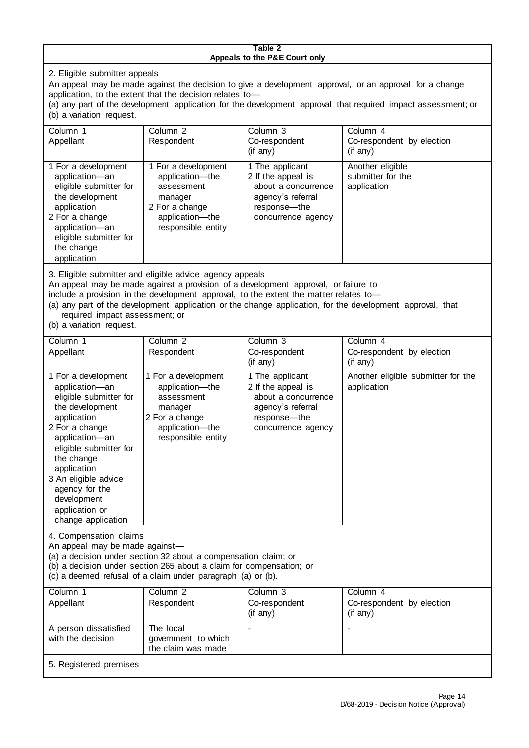#### **Table 2 Appeals to the P&E Court only**

2. Eligible submitter appeals

An appeal may be made against the decision to give a development approval, or an approval for a change application, to the extent that the decision relates to—

(a) any part of the development application for the development approval that required impact assessment; or (b) a variation request.

| Column 1<br>Appellant                                                                                                                                                                        | Column <sub>2</sub><br>Respondent                                                                                          | Column 3<br>Co-respondent<br>(if any)                                                                                   | Column <sub>4</sub><br>Co-respondent by election<br>(if any) |
|----------------------------------------------------------------------------------------------------------------------------------------------------------------------------------------------|----------------------------------------------------------------------------------------------------------------------------|-------------------------------------------------------------------------------------------------------------------------|--------------------------------------------------------------|
| 1 For a development<br>application-an<br>eligible submitter for<br>the development<br>application<br>2 For a change<br>application-an<br>eligible submitter for<br>the change<br>application | 1 For a development<br>application-the<br>assessment<br>manager<br>2 For a change<br>application-the<br>responsible entity | 1 The applicant<br>2 If the appeal is<br>about a concurrence<br>agency's referral<br>response—the<br>concurrence agency | Another eligible<br>submitter for the<br>application         |

3. Eligible submitter and eligible advice agency appeals

An appeal may be made against a provision of a development approval, or failure to

include a provision in the development approval, to the extent the matter relates to—

(a) any part of the development application or the change application, for the development approval, that required impact assessment; or

(b) a variation request.

| Column 1                                                                                                                                                                                                                                                                                      | Column <sub>2</sub>                                                                                                        | Column 3                                                                                                                | Column 4                                          |
|-----------------------------------------------------------------------------------------------------------------------------------------------------------------------------------------------------------------------------------------------------------------------------------------------|----------------------------------------------------------------------------------------------------------------------------|-------------------------------------------------------------------------------------------------------------------------|---------------------------------------------------|
| Appellant                                                                                                                                                                                                                                                                                     | Respondent                                                                                                                 | Co-respondent                                                                                                           | Co-respondent by election                         |
|                                                                                                                                                                                                                                                                                               |                                                                                                                            | $(i f \n\text{any})$                                                                                                    | $(i f \n{any})$                                   |
| 1 For a development<br>application-an<br>eligible submitter for<br>the development<br>application<br>2 For a change<br>application-an<br>eligible submitter for<br>the change<br>application<br>3 An eligible advice<br>agency for the<br>development<br>application or<br>change application | 1 For a development<br>application-the<br>assessment<br>manager<br>2 For a change<br>application-the<br>responsible entity | 1 The applicant<br>2 If the appeal is<br>about a concurrence<br>agency's referral<br>response—the<br>concurrence agency | Another eligible submitter for the<br>application |
| 1 Companantion algima                                                                                                                                                                                                                                                                         |                                                                                                                            |                                                                                                                         |                                                   |

4. Compensation claims

An appeal may be made against—

(a) a decision under section 32 about a compensation claim; or

- (b) a decision under section 265 about a claim for compensation; or
- (c) a deemed refusal of a claim under paragraph (a) or (b).

| Column 1                                   | Column 2                                               | Column 3                  | Column 4                                    |
|--------------------------------------------|--------------------------------------------------------|---------------------------|---------------------------------------------|
| Appellant                                  | Respondent                                             | Co-respondent<br>(if any) | Co-respondent by election<br>$($ if any $)$ |
| A person dissatisfied<br>with the decision | The local<br>government to which<br>the claim was made |                           |                                             |

5. Registered premises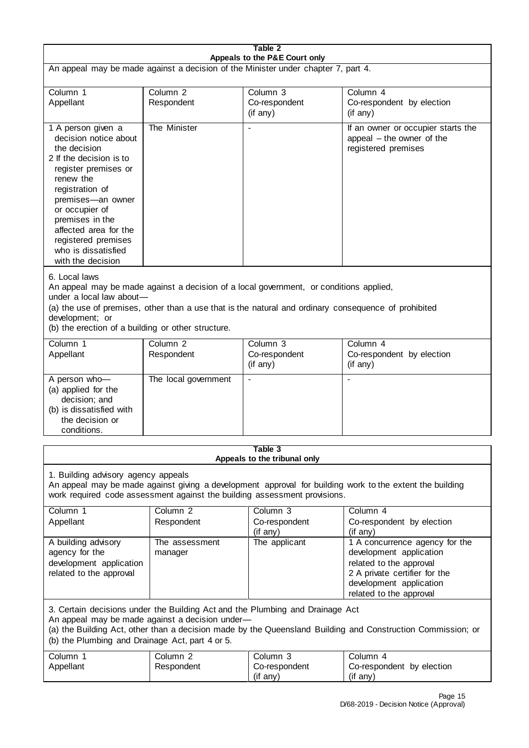| Table 2<br>Appeals to the P&E Court only                                                                                                                                                                                                                                                                             |                                   |                                                  |                                                                                        |
|----------------------------------------------------------------------------------------------------------------------------------------------------------------------------------------------------------------------------------------------------------------------------------------------------------------------|-----------------------------------|--------------------------------------------------|----------------------------------------------------------------------------------------|
| An appeal may be made against a decision of the Minister under chapter 7, part 4.                                                                                                                                                                                                                                    |                                   |                                                  |                                                                                        |
| Column <sub>1</sub><br>Appellant                                                                                                                                                                                                                                                                                     | Column <sub>2</sub><br>Respondent | Column <sub>3</sub><br>Co-respondent<br>(if any) | Column <sub>4</sub><br>Co-respondent by election<br>(if any)                           |
| 1 A person given a<br>decision notice about<br>the decision<br>2 If the decision is to<br>register premises or<br>renew the<br>registration of<br>premises-an owner<br>or occupier of<br>premises in the<br>affected area for the<br>registered premises<br>who is dissatisfied<br>with the decision                 | The Minister                      |                                                  | If an owner or occupier starts the<br>appeal - the owner of the<br>registered premises |
| 6. Local laws<br>An appeal may be made against a decision of a local government, or conditions applied,<br>under a local law about-<br>(a) the use of premises, other than a use that is the natural and ordinary consequence of prohibited<br>development; or<br>(b) the erection of a building or other structure. |                                   |                                                  |                                                                                        |
| Column <sub>1</sub><br>Appellant                                                                                                                                                                                                                                                                                     | Column <sub>2</sub><br>Respondent | Column <sub>3</sub><br>Co-respondent<br>(if any) | Column 4<br>Co-respondent by election<br>(if any)                                      |
| A person who-<br>(a) applied for the<br>decision; and<br>(b) is dissatisfied with<br>the decision or<br>conditions.                                                                                                                                                                                                  | The local government              |                                                  |                                                                                        |
| Table 3                                                                                                                                                                                                                                                                                                              |                                   |                                                  |                                                                                        |

#### **Table 3 Appeals to the tribunal only**

1. Building advisory agency appeals

An appeal may be made against giving a development approval for building work to the extent the building work required code assessment against the building assessment provisions.

| Column 1                | Column 2       | Column 3      | Column 4                       |
|-------------------------|----------------|---------------|--------------------------------|
| Appellant               | Respondent     | Co-respondent | Co-respondent by election      |
|                         |                | (if any)      | $($ if any $)$                 |
| A building advisory     | The assessment | The applicant | 1 A concurrence agency for the |
| agency for the          | manager        |               | development application        |
| development application |                |               | related to the approval        |
| related to the approval |                |               | 2 A private certifier for the  |
|                         |                |               | development application        |
|                         |                |               | related to the approval        |

3. Certain decisions under the Building Act and the Plumbing and Drainage Act An appeal may be made against a decision under—

(a) the Building Act, other than a decision made by the Queensland Building and Construction Commission; or (b) the Plumbing and Drainage Act, part 4 or 5.

| Column<br>Appellant | Column 2<br>Respondent | Column 3<br>Co-respondent<br>anv)<br>(It | Column 4<br>Co-respondent by election<br>(if<br>anv |
|---------------------|------------------------|------------------------------------------|-----------------------------------------------------|
|---------------------|------------------------|------------------------------------------|-----------------------------------------------------|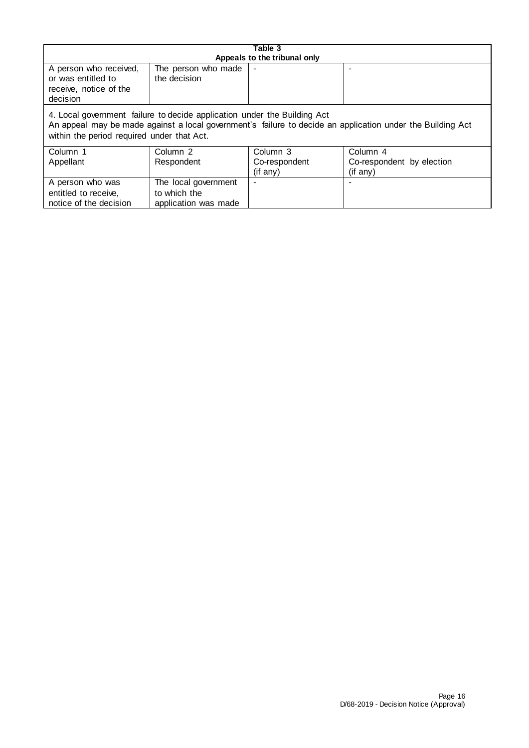| Table 3<br>Appeals to the tribunal only                                            |                                     |  |  |  |  |
|------------------------------------------------------------------------------------|-------------------------------------|--|--|--|--|
| A person who received,<br>or was entitled to<br>receive, notice of the<br>decision | The person who made<br>the decision |  |  |  |  |
| 4. Local government failure to decide application under the Building Act           |                                     |  |  |  |  |

An appeal may be made against a local government's failure to decide an application under the Building Act within the period required under that Act.

| Column 1<br>Appellant  | Column 2<br>Respondent | Column 3<br>Co-respondent<br>(if any) | Column 4<br>Co-respondent by election<br>$($ if any $)$ |
|------------------------|------------------------|---------------------------------------|---------------------------------------------------------|
| A person who was       | The local government   |                                       |                                                         |
| entitled to receive,   | to which the           |                                       |                                                         |
| notice of the decision | application was made   |                                       |                                                         |